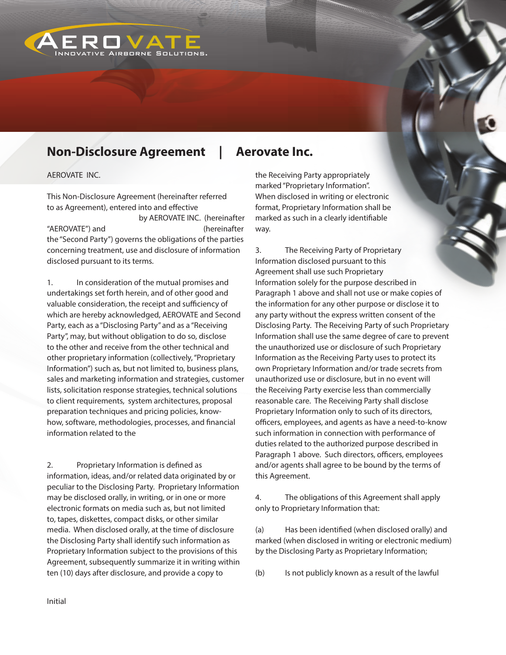

## **Non-Disclosure Agreement | Aerovate Inc.**

AEROVATE INC.

This Non-Disclosure Agreement (hereinafter referred to as Agreement), entered into and effective

 by AEROVATE INC. (hereinafter "AEROVATE") and (hereinafter the "Second Party") governs the obligations of the parties concerning treatment, use and disclosure of information disclosed pursuant to its terms.

1. In consideration of the mutual promises and undertakings set forth herein, and of other good and valuable consideration, the receipt and sufficiency of which are hereby acknowledged, AEROVATE and Second Party, each as a "Disclosing Party" and as a "Receiving Party", may, but without obligation to do so, disclose to the other and receive from the other technical and other proprietary information (collectively, "Proprietary Information") such as, but not limited to, business plans, sales and marketing information and strategies, customer lists, solicitation response strategies, technical solutions to client requirements, system architectures, proposal preparation techniques and pricing policies, knowhow, software, methodologies, processes, and financial information related to the

2. Proprietary Information is defined as information, ideas, and/or related data originated by or peculiar to the Disclosing Party. Proprietary Information may be disclosed orally, in writing, or in one or more electronic formats on media such as, but not limited to, tapes, diskettes, compact disks, or other similar media. When disclosed orally, at the time of disclosure the Disclosing Party shall identify such information as Proprietary Information subject to the provisions of this Agreement, subsequently summarize it in writing within ten (10) days after disclosure, and provide a copy to

the Receiving Party appropriately marked "Proprietary Information". When disclosed in writing or electronic format, Proprietary Information shall be marked as such in a clearly identifiable way.

3. The Receiving Party of Proprietary Information disclosed pursuant to this Agreement shall use such Proprietary Information solely for the purpose described in Paragraph 1 above and shall not use or make copies of the information for any other purpose or disclose it to any party without the express written consent of the Disclosing Party. The Receiving Party of such Proprietary Information shall use the same degree of care to prevent the unauthorized use or disclosure of such Proprietary Information as the Receiving Party uses to protect its own Proprietary Information and/or trade secrets from unauthorized use or disclosure, but in no event will the Receiving Party exercise less than commercially reasonable care. The Receiving Party shall disclose Proprietary Information only to such of its directors, officers, employees, and agents as have a need-to-know such information in connection with performance of duties related to the authorized purpose described in Paragraph 1 above. Such directors, officers, employees and/or agents shall agree to be bound by the terms of this Agreement.

4. The obligations of this Agreement shall apply only to Proprietary Information that:

(a) Has been identified (when disclosed orally) and marked (when disclosed in writing or electronic medium) by the Disclosing Party as Proprietary Information;

(b) Is not publicly known as a result of the lawful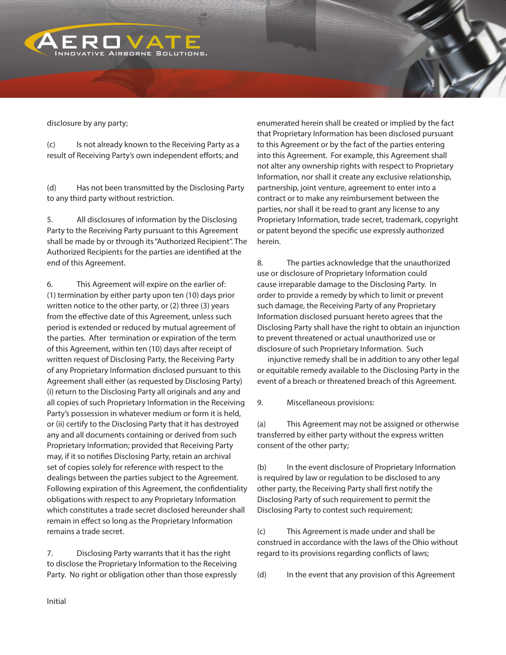

disclosure by any party;

(c) Is not already known to the Receiving Party as a result of Receiving Party's own independent efforts; and

(d) Has not been transmitted by the Disclosing Party to any third party without restriction.

5. All disclosures of information by the Disclosing Party to the Receiving Party pursuant to this Agreement shall be made by or through its "Authorized Recipient". The Authorized Recipients for the parties are identified at the end of this Agreement.

6. This Agreement will expire on the earlier of: (1) termination by either party upon ten (10) days prior written notice to the other party, or (2) three (3) years from the effective date of this Agreement, unless such period is extended or reduced by mutual agreement of the parties. After termination or expiration of the term of this Agreement, within ten (10) days after receipt of written request of Disclosing Party, the Receiving Party of any Proprietary Information disclosed pursuant to this Agreement shall either (as requested by Disclosing Party) (i) return to the Disclosing Party all originals and any and all copies of such Proprietary Information in the Receiving Party's possession in whatever medium or form it is held, or (ii) certify to the Disclosing Party that it has destroyed any and all documents containing or derived from such Proprietary Information; provided that Receiving Party may, if it so notifies Disclosing Party, retain an archival set of copies solely for reference with respect to the dealings between the parties subject to the Agreement. Following expiration of this Agreement, the confidentiality obligations with respect to any Proprietary Information which constitutes a trade secret disclosed hereunder shall remain in effect so long as the Proprietary Information remains a trade secret.

7. Disclosing Party warrants that it has the right to disclose the Proprietary Information to the Receiving Party. No right or obligation other than those expressly

enumerated herein shall be created or implied by the fact that Proprietary Information has been disclosed pursuant to this Agreement or by the fact of the parties entering into this Agreement. For example, this Agreement shall not alter any ownership rights with respect to Proprietary Information, nor shall it create any exclusive relationship, partnership, joint venture, agreement to enter into a contract or to make any reimbursement between the parties, nor shall it be read to grant any license to any Proprietary Information, trade secret, trademark, copyright or patent beyond the specific use expressly authorized herein.

8. The parties acknowledge that the unauthorized use or disclosure of Proprietary Information could cause irreparable damage to the Disclosing Party. In order to provide a remedy by which to limit or prevent such damage, the Receiving Party of any Proprietary Information disclosed pursuant hereto agrees that the Disclosing Party shall have the right to obtain an injunction to prevent threatened or actual unauthorized use or disclosure of such Proprietary Information. Such

 injunctive remedy shall be in addition to any other legal or equitable remedy available to the Disclosing Party in the event of a breach or threatened breach of this Agreement.

9. Miscellaneous provisions:

(a) This Agreement may not be assigned or otherwise transferred by either party without the express written consent of the other party;

(b) In the event disclosure of Proprietary Information is required by law or regulation to be disclosed to any other party, the Receiving Party shall first notify the Disclosing Party of such requirement to permit the Disclosing Party to contest such requirement;

(c) This Agreement is made under and shall be construed in accordance with the laws of the Ohio without regard to its provisions regarding conflicts of laws;

(d) In the event that any provision of this Agreement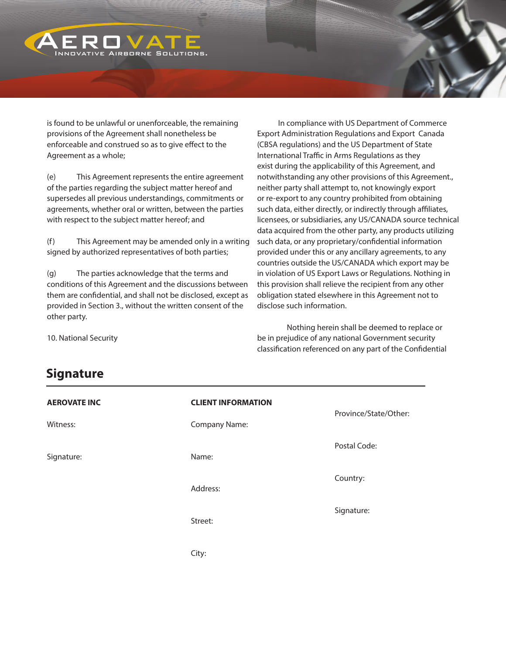

is found to be unlawful or unenforceable, the remaining provisions of the Agreement shall nonetheless be enforceable and construed so as to give effect to the Agreement as a whole;

(e) This Agreement represents the entire agreement of the parties regarding the subject matter hereof and supersedes all previous understandings, commitments or agreements, whether oral or written, between the parties with respect to the subject matter hereof; and

(f) This Agreement may be amended only in a writing signed by authorized representatives of both parties;

(g) The parties acknowledge that the terms and conditions of this Agreement and the discussions between them are confidential, and shall not be disclosed, except as provided in Section 3., without the written consent of the other party.

 In compliance with US Department of Commerce Export Administration Regulations and Export Canada (CBSA regulations) and the US Department of State International Traffic in Arms Regulations as they exist during the applicability of this Agreement, and notwithstanding any other provisions of this Agreement., neither party shall attempt to, not knowingly export or re-export to any country prohibited from obtaining such data, either directly, or indirectly through affiliates, licensees, or subsidiaries, any US/CANADA source technical data acquired from the other party, any products utilizing such data, or any proprietary/confidential information provided under this or any ancillary agreements, to any countries outside the US/CANADA which export may be in violation of US Export Laws or Regulations. Nothing in this provision shall relieve the recipient from any other obligation stated elsewhere in this Agreement not to disclose such information.

Nothing herein shall be deemed to replace or be in prejudice of any national Government security classification referenced on any part of the Confidential

10. National Security

## **Signature**

| <b>AEROVATE INC</b> | <b>CLIENT INFORMATION</b> | Province/State/Other: |
|---------------------|---------------------------|-----------------------|
| Witness:            | Company Name:             |                       |
| Signature:          | Name:                     | Postal Code:          |
|                     | Address:                  | Country:              |
|                     | Street:                   | Signature:            |
|                     | City:                     |                       |